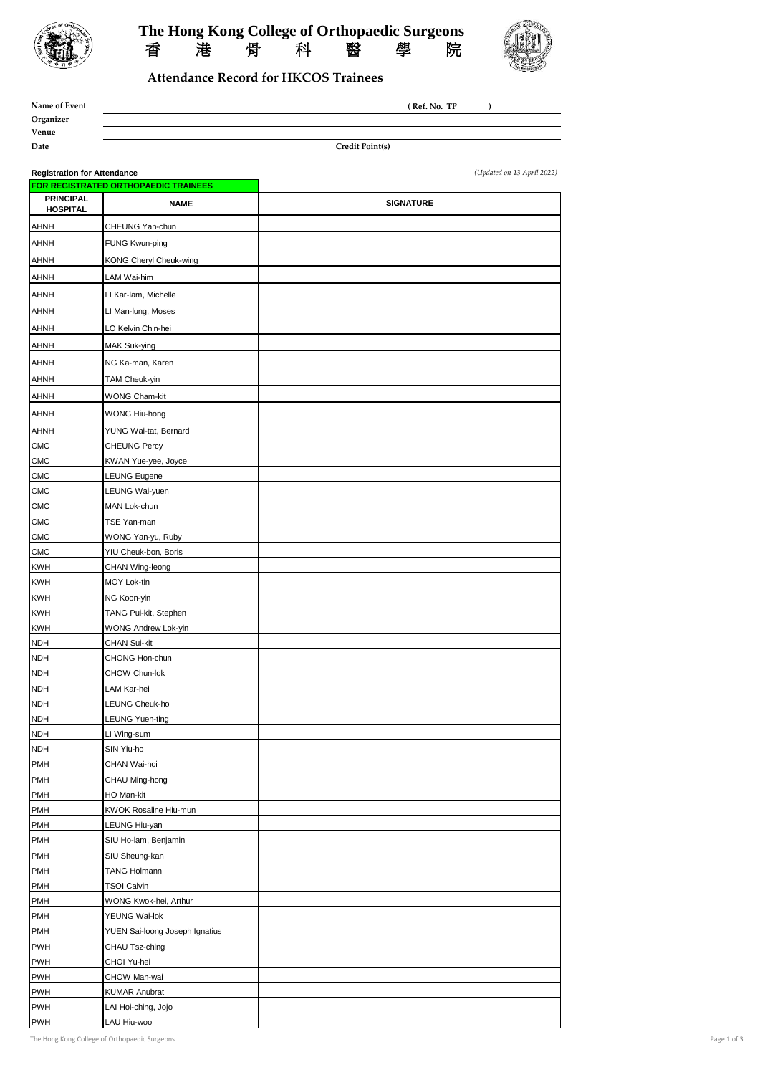

## The Hong Kong College of Orthopaedic Surgeons<br>香港骨科醫學院 香 港 骨 科 醫 學 院



## **Attendance Record for HKCOS Trainees**

| Name of Event |                        | (Ref. No. TP) |  |
|---------------|------------------------|---------------|--|
| Organizer     |                        |               |  |
| Venue         |                        |               |  |
| Date          | <b>Credit Point(s)</b> |               |  |

**Registration for Attendance** *(Updated on 13 April 2022)* **FOR REGISTRATED ORTHOPAEDIC TRAINEES PRINCIPAL HOSPITAL** NAME AHNH CHEUNG Yan-chun AHNH FUNG Kwun-ping AHNH KONG Cheryl Cheuk-wing AHNH LAM Wai-him AHNH LI Kar-lam, Michelle AHNH LI Man-lung, Moses AHNH LO Kelvin Chin-hei AHNH MAK Suk-ying AHNH NG Ka-man, Karen AHNH TAM Cheuk-yin AHNH WONG Cham-kit AHNH WONG Hiu-hong AHNH YUNG Wai-tat, Bernard CMC CHEUNG Percy CMC KWAN Yue-yee, Joyce CMC LEUNG Eugene CMC LEUNG Wai-yuen CMC MAN Lok-chun CMC TSE Yan-man CMC WONG Yan-yu, Ruby CMC YIU Cheuk-bon, Boris KWH CHAN Wing-leong KWH MOY Lok-tin KWH NG Koon-yin KWH TANG Pui-kit, Stephen KWH WONG Andrew Lok-yin NDH CHAN Sui-kit NDH CHONG Hon-chun NDH CHOW Chun-lok NDH LAM Kar-hei NDH LEUNG Cheuk-ho NDH LEUNG Yuen-ting NDH LI Wing-sum NDH SIN Yiu-ho PMH CHAN Wai-hoi PMH CHAU Ming-hong PMH HO Man-kit PMH KWOK Rosaline Hiu-mun PMH LEUNG Hiu-yan PMH SIU Ho-lam, Benjamin PMH SIU Sheung-kan PMH **TANG Holmann** PMH TSOI Calvin PMH WONG Kwok-hei, Arthur PMH YEUNG Wai-lok PMH **YUEN** Sai-loong Joseph Ignatius PWH CHAU Tsz-ching PWH CHOI Yu-hei PWH CHOW Man-wai PWH KUMAR Anubrat PWH LAI Hoi-ching, Jojo PWH LAU Hiu-woo **SIGNATURE**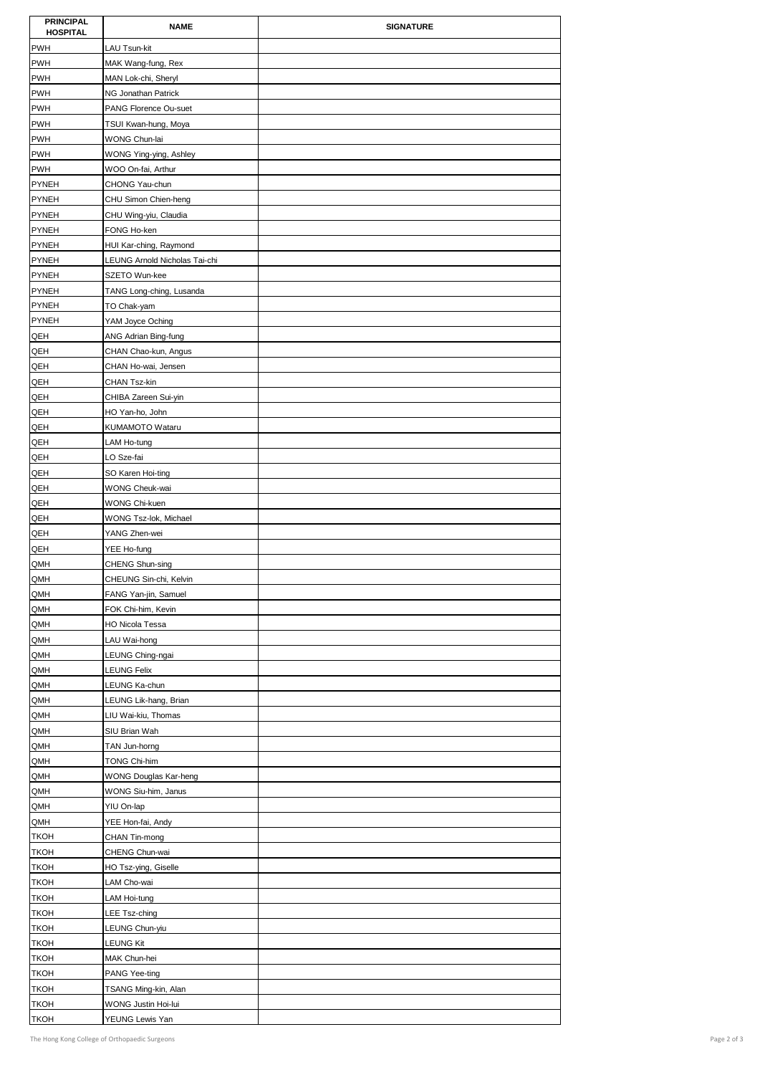| <b>PRINCIPAL</b><br><b>HOSPITAL</b> | <b>NAME</b>                          | <b>SIGNATURE</b> |
|-------------------------------------|--------------------------------------|------------------|
| <b>PWH</b>                          | LAU Tsun-kit                         |                  |
| <b>PWH</b>                          | MAK Wang-fung, Rex                   |                  |
| <b>PWH</b>                          | MAN Lok-chi, Sheryl                  |                  |
| <b>PWH</b>                          | NG Jonathan Patrick                  |                  |
| <b>PWH</b>                          | PANG Florence Ou-suet                |                  |
| <b>PWH</b>                          | TSUI Kwan-hung, Moya                 |                  |
| <b>PWH</b>                          | WONG Chun-lai                        |                  |
| <b>PWH</b>                          | WONG Ying-ying, Ashley               |                  |
| <b>PWH</b>                          | WOO On-fai, Arthur                   |                  |
| <b>PYNEH</b>                        | CHONG Yau-chun                       |                  |
| <b>PYNEH</b>                        | CHU Simon Chien-heng                 |                  |
| <b>PYNEH</b>                        | CHU Wing-yiu, Claudia                |                  |
| <b>PYNEH</b>                        | FONG Ho-ken                          |                  |
| <b>PYNEH</b>                        | HUI Kar-ching, Raymond               |                  |
| <b>PYNEH</b>                        | LEUNG Arnold Nicholas Tai-chi        |                  |
| <b>PYNEH</b>                        | SZETO Wun-kee                        |                  |
| <b>PYNEH</b>                        | TANG Long-ching, Lusanda             |                  |
| <b>PYNEH</b>                        | TO Chak-yam                          |                  |
| <b>PYNEH</b>                        | YAM Joyce Oching                     |                  |
| QEH                                 | ANG Adrian Bing-fung                 |                  |
| QEH                                 | CHAN Chao-kun, Angus                 |                  |
| QEH                                 | CHAN Ho-wai, Jensen                  |                  |
| QEH<br>QEH                          | CHAN Tsz-kin<br>CHIBA Zareen Sui-yin |                  |
| QEH                                 | HO Yan-ho, John                      |                  |
| QEH                                 | KUMAMOTO Wataru                      |                  |
| QEH                                 | LAM Ho-tung                          |                  |
| QEH                                 | LO Sze-fai                           |                  |
| QEH                                 | SO Karen Hoi-ting                    |                  |
| QEH                                 | WONG Cheuk-wai                       |                  |
| QEH                                 | WONG Chi-kuen                        |                  |
| QEH                                 | WONG Tsz-lok, Michael                |                  |
| QEH                                 | YANG Zhen-wei                        |                  |
| QEH                                 | YEE Ho-fung                          |                  |
| QMH                                 | CHENG Shun-sing                      |                  |
| QMH                                 | CHEUNG Sin-chi, Kelvin               |                  |
| QMH                                 | FANG Yan-jin, Samuel                 |                  |
| QMH                                 | FOK Chi-him, Kevin                   |                  |
| QMH                                 | <b>HO Nicola Tessa</b>               |                  |
| QMH                                 | LAU Wai-hong                         |                  |
| QMH                                 | LEUNG Ching-ngai                     |                  |
| QMH                                 | LEUNG Felix                          |                  |
| QMH                                 | LEUNG Ka-chun                        |                  |
| QMH                                 | LEUNG Lik-hang, Brian                |                  |
| QMH<br>QMH                          | LIU Wai-kiu, Thomas<br>SIU Brian Wah |                  |
| QMH                                 | TAN Jun-horng                        |                  |
| QMH                                 | TONG Chi-him                         |                  |
| QMH                                 | WONG Douglas Kar-heng                |                  |
| QMH                                 | WONG Siu-him, Janus                  |                  |
| QMH                                 | YIU On-lap                           |                  |
| QMH                                 | YEE Hon-fai, Andy                    |                  |
| <b>TKOH</b>                         | CHAN Tin-mong                        |                  |
| <b>TKOH</b>                         | CHENG Chun-wai                       |                  |
| <b>TKOH</b>                         | HO Tsz-ying, Giselle                 |                  |
| <b>TKOH</b>                         | LAM Cho-wai                          |                  |
| <b>TKOH</b>                         | LAM Hoi-tung                         |                  |
| <b>TKOH</b>                         | LEE Tsz-ching                        |                  |
| <b>TKOH</b>                         | LEUNG Chun-yiu                       |                  |
| <b>TKOH</b>                         | LEUNG Kit                            |                  |
| <b>TKOH</b>                         | MAK Chun-hei                         |                  |
| <b>TKOH</b>                         | PANG Yee-ting                        |                  |
| <b>TKOH</b>                         | TSANG Ming-kin, Alan                 |                  |
| <b>TKOH</b>                         | WONG Justin Hoi-lui                  |                  |
| <b>TKOH</b>                         | YEUNG Lewis Yan                      |                  |